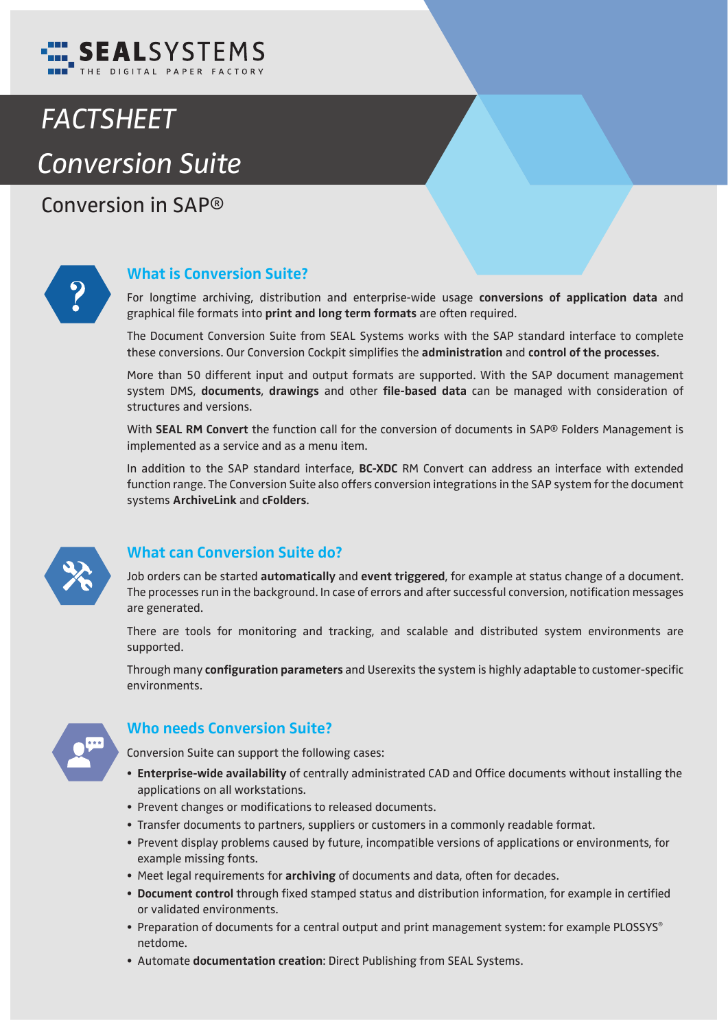

# *FACTSHEET Conversion Suite*

Conversion in SAP*®*



#### **What is Conversion Suite?**

For longtime archiving, distribution and enterprise-wide usage **conversions of application data** and graphical file formats into print and long term formats are often required.

The Document Conversion Suite from SEAL Systems works with the SAP standard interface to complete these conversions. Our Conversion Cockpit simplifies the **administration** and **control of the processes**.

More than 50 different input and output formats are supported. With the SAP document management system DMS, **documents**, drawings and other file-based data can be managed with consideration of structures and versions.

With **SEAL RM Convert** the function call for the conversion of documents in SAP® Folders Management is implemented as a service and as a menu item.

In addition to the SAP standard interface, **BC-XDC** RM Convert can address an interface with extended function range. The Conversion Suite also offers conversion integrations in the SAP system for the document systems **ArchiveLink** and **cFolders**.



#### **What can Conversion Suite do?**

Job orders can be started **automatically** and **event triggered**, for example at status change of a document. The processes run in the background. In case of errors and after successful conversion, notification messages are generated.

There are tools for monitoring and tracking, and scalable and distributed system environments are supported.

Through many **configuration parameters** and Userexits the system is highly adaptable to customer-specific environments.



#### **Who needs Conversion Suite?**

Conversion Suite can support the following cases:

- Enterprise-wide availability of centrally administrated CAD and Office documents without installing the applications on all workstations.
- Prevent changes or modifications to released documents.
- Transfer documents to partners, suppliers or customers in a commonly readable format.
- Prevent display problems caused by future, incompatible versions of applications or environments, for example missing fonts.
- Meet legal requirements for **archiving** of documents and data, often for decades.
- Document control through fixed stamped status and distribution information, for example in certified or validated environments.
- Preparation of documents for a central output and print management system: for example PLOSSYS® netdome.
- Automate **documentation creation**: Direct Publishing from SEAL Systems.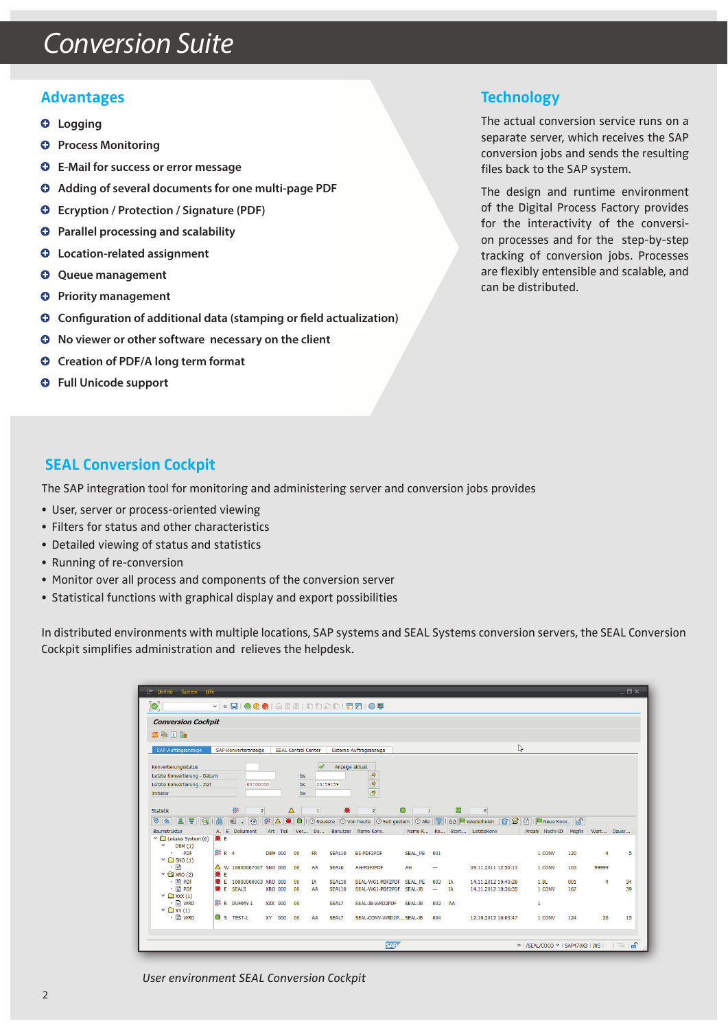## Conversion Suite

#### **Advantages**

- **Logging**
- **<sup>O</sup>** Process Monitoring
- **E-Mail for success or error message**
- **Q** Adding of several documents for one multi-page PDF
- **Ecryption / Protection / Signature (PDF)**
- $\bullet$  Parallel processing and scalability
- **Location-related assignment**
- **<sup>O</sup>** Queue management
- **<sup>O</sup>** Priority management
- $\bullet$  Configuration of additional data (stamping or field actualization)
- $\bullet$  No viewer or other software necessary on the client
- $\bullet$  Creation of PDF/A long term format
- **Full Unicode support**

#### **Technology**

The actual conversion service runs on a separate server, which receives the SAP conversion jobs and sends the resulting files back to the SAP system.

The design and runtime environment of the Digital Process Factory provides for the interactivity of the conversion processes and for the step-by-step tracking of conversion jobs. Processes are flexibly entensible and scalable, and can be distributed.

#### **SEAL Conversion Cockpit**

The SAP integration tool for monitoring and administering server and conversion jobs provides

- User, server or process-oriented viewing
- Filters for status and other characteristics
- Detailed viewing of status and statistics
- Running of re-conversion
- Monitor over all process and components of the conversion server
- Statistical functions with graphical display and export possibilities

In distributed environments with multiple locations, SAP systems and SEAL Systems conversion servers, the SEAL Conversion Cockpit simplifies administration and relieves the helpdesk.

| <b>Er Umfeld</b> System Hife                                                                         |                      |                                |                |             |          |                 |                  |                                              |               |                          |          |                                            |                   |            |                | $ \Box$ $\times$ |
|------------------------------------------------------------------------------------------------------|----------------------|--------------------------------|----------------|-------------|----------|-----------------|------------------|----------------------------------------------|---------------|--------------------------|----------|--------------------------------------------|-------------------|------------|----------------|------------------|
| $\left[ \text{\o} \right]$<br>v « HIQQQIBAAISDAIFFIIO !!                                             |                      |                                |                |             |          |                 |                  |                                              |               |                          |          |                                            |                   |            |                |                  |
| <b>Conversion Cockpit</b>                                                                            |                      |                                |                |             |          |                 |                  |                                              |               |                          |          |                                            |                   |            |                |                  |
| <b>图卡日陆</b>                                                                                          |                      |                                |                |             |          |                 |                  |                                              |               |                          |          |                                            |                   |            |                |                  |
| SAP-Auftragsanzeige<br>SAP-Konverteranzeige<br><b>SEAL Control Center</b><br>Externe Auftragsanzeige |                      |                                |                |             |          |                 |                  | $\mathbb{Z}$                                 |               |                          |          |                                            |                   |            |                |                  |
| Konvertierungsstatus                                                                                 |                      |                                |                |             |          |                 | Anzeige aktual.  |                                              |               |                          |          |                                            |                   |            |                |                  |
| Letzte Konvertierung - Datum                                                                         |                      |                                |                |             | bis      |                 |                  | 會                                            |               |                          |          |                                            |                   |            |                |                  |
| 00:00:00<br>Letzte Konvertierung - Zeit                                                              |                      |                                |                |             |          | 23:59:59<br>bis |                  |                                              |               |                          |          |                                            |                   |            |                |                  |
| Initiator                                                                                            |                      |                                |                |             | bis      |                 |                  | $\frac{1}{\sqrt{2}}$                         |               |                          |          |                                            |                   |            |                |                  |
|                                                                                                      |                      |                                |                |             |          |                 |                  |                                              |               |                          |          |                                            |                   |            |                |                  |
| Statistik                                                                                            |                      | 豁<br>$\overline{2}$            |                | $\triangle$ |          | $\overline{1}$  | $\bullet$        | $\overline{2}$                               | $\circ$       | $\overline{1}$           | 図        | 6                                          |                   |            |                |                  |
| <b>VAILE</b> I<br>R                                                                                  | 尚                    | $\bullet$<br>理<br>O.           | 懿<br>$\Delta$  | IO.         | $\Box$   |                 |                  | ⊙ Neueste © Von heute © Seit gestern         | $\Theta$ Alle | $\overline{\mathcal{B}}$ |          | $\mathbb{R}$<br>68 Wiederholen             | o  <br>Neue Konv. |            |                |                  |
| Baumstruktur                                                                                         | A. E.                | Dokument                       | Art Teil       |             |          |                 |                  | Ver Do Benutzer Name Kony.                   |               |                          |          | Name K Ko Start LetzteKony                 | Anzahl Nachr-ID   | MsgNr      | Wart           | Dauer            |
| $\vee$ $\Box$ Lokales System (6) $\circ$ E                                                           |                      |                                |                |             |          |                 |                  |                                              |               |                          |          |                                            |                   |            |                |                  |
| $\check{~}$<br><b>DBM</b> (1)                                                                        |                      |                                |                |             |          |                 |                  |                                              |               |                          |          |                                            |                   |            |                |                  |
| PDF                                                                                                  | <b>総R4</b>           |                                | <b>DBM 000</b> |             | 00       | <b>FR</b>       | SEAL10           | BS-PDF2PDF                                   | SEAL PE       | 001                      |          |                                            | 1 CONV            | 120        | 4              | 5                |
| $\vee$ $\Box$ SNO (1)                                                                                |                      |                                |                |             |          |                 |                  |                                              |               |                          |          |                                            |                   |            |                |                  |
| $\cdot$ $\Box$                                                                                       |                      | △ W 10000007007 SNO 000        |                |             | 00       | AA              | SEAL6            | AH-PDF2PDF                                   | <b>AH</b>     | --                       |          | 09.11.2011 12:50:13                        | 1 CONV            | 103        | 99999          |                  |
| $\vee$ $\bigoplus$ XRO (2)                                                                           | $C$ E<br>$\bullet$ E |                                |                |             |          |                 |                  |                                              |               |                          |          |                                            | 1B                |            |                |                  |
| $\cdot$ $\Box$ PDF<br>$\cdot$ <b>E</b> PDF                                                           |                      | 10000000003 XRO 000<br>E SEALS | <b>XRO 000</b> |             | 00<br>00 | <b>TA</b><br>AA | SEAL10<br>SEAL10 | SEAL-WG1-PDF2PDF<br>SEAL-WG1-PDF2PDF SEAL-JB | SEAL_PE       | 003<br>--                | IA<br>IA | 14.11.2012 10:40:28<br>14.11.2012 10:36:35 | 1 CONV            | 001<br>167 | $\overline{4}$ | 34<br>39         |
| $\checkmark$ $\Box$ XXX (1)                                                                          |                      |                                |                |             |          |                 |                  |                                              |               |                          |          |                                            |                   |            |                |                  |
| $\cdot$ $\blacksquare$ WRD                                                                           |                      | 総 R DUMMY-1                    | XXX 000        |             | 00       |                 | SEAL7            | SEAL-JB-WRD2PDF                              | SEAL-JB       | 002                      | AA       |                                            | $\mathbf{1}$      |            |                |                  |
| $\checkmark$ $\Box$ XY(1)                                                                            |                      |                                |                |             |          |                 |                  |                                              |               |                          |          |                                            |                   |            |                |                  |
| $\cdot$ <b>E</b> WRD                                                                                 | $\bigcirc$ s         | TEST-1                         | XY 000         |             | 00       | AA              | SEAL7            | SEAL-CONV-WRD2P SEAL-JB                      |               | 004                      |          | 12.10.2012 16:03:47                        | 1 CONV            | 124        | 26             | 15               |
|                                                                                                      |                      |                                |                |             |          |                 |                  |                                              |               |                          |          |                                            |                   |            |                |                  |
|                                                                                                      |                      |                                |                |             |          |                 |                  |                                              |               |                          |          |                                            |                   |            |                |                  |
|                                                                                                      |                      |                                |                |             |          |                 |                  | <b>SAP</b>                                   |               |                          |          |                                            |                   |            |                |                  |
|                                                                                                      |                      |                                |                |             |          |                 |                  |                                              |               |                          |          |                                            |                   |            |                |                  |

*User environment SEAL Conversion Cockpit*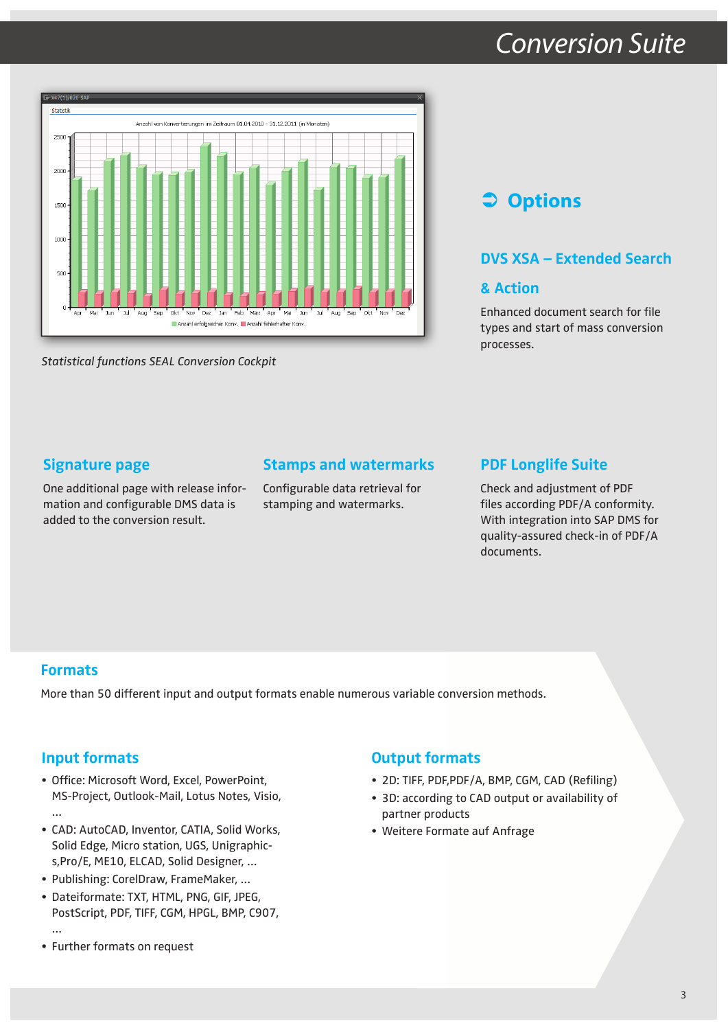### Conversion Suite



*Statistical functions SEAL Conversion Cockpit*

### **Options**

#### **DVS XSA – Extended Search**

#### **& Action**

Enhanced document search for file types and start of mass conversion processes.

#### **Signature page**

One additional page with release information and configurable DMS data is added to the conversion result.

#### **Stamps and watermarks**

Configurable data retrieval for stamping and watermarks.

#### **PDF Longlife Suite**

Check and adjustment of PDF files according PDF/A conformity. With integration into SAP DMS for quality-assured check-in of PDF/A documents.

#### **Formats**

…

More than 50 different input and output formats enable numerous variable conversion methods.

#### **Input formats**

- Office: Microsoft Word, Excel, PowerPoint, MS-Project, Outlook-Mail, Lotus Notes, Visio,
- CAD: AutoCAD, Inventor, CATIA, Solid Works, Solid Edge, Micro station, UGS, Unigraphics,Pro/E, ME10, ELCAD, Solid Designer, …
- Publishing: CorelDraw, FrameMaker, …
- Dateiformate: TXT, HTML, PNG, GIF, JPEG, PostScript, PDF, TIFF, CGM, HPGL, BMP, C907, …
- Further formats on request

#### **Output formats**

- 2D: TIFF, PDF, PDF/A, BMP, CGM, CAD (Refiling)
- 3D: according to CAD output or availability of partner products
- Weitere Formate auf Anfrage